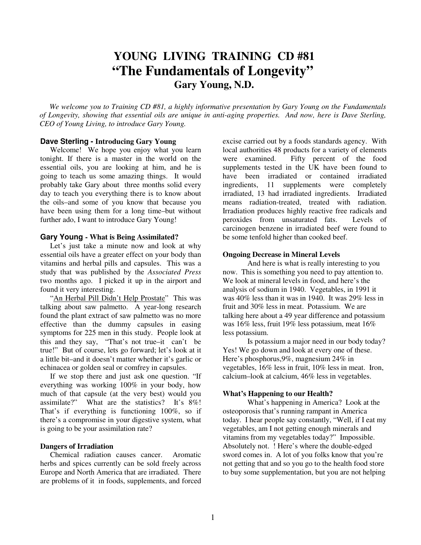# **YOUNG LIVING TRAINING CD #81 "The Fundamentals of Longevity" Gary Young, N.D.**

 *We welcome you to Training CD #81, a highly informative presentation by Gary Young on the Fundamentals of Longevity, showing that essential oils are unique in anti-aging properties. And now, here is Dave Sterling, CEO of Young Living, to introduce Gary Young.* 

## **Dave Sterling - Introducing Gary Young**

Welcome! We hope you enjoy what you learn tonight. If there is a master in the world on the essential oils, you are looking at him, and he is going to teach us some amazing things. It would probably take Gary about three months solid every day to teach you everything there is to know about the oils–and some of you know that because you have been using them for a long time–but without further ado, I want to introduce Gary Young!

#### **Gary Young - What is Being Assimilated?**

 Let's just take a minute now and look at why essential oils have a greater effect on your body than vitamins and herbal pills and capsules. This was a study that was published by the *Associated Press* two months ago. I picked it up in the airport and found it very interesting.

"An Herbal Pill Didn't Help Prostate" This was talking about saw palmetto. A year-long research found the plant extract of saw palmetto was no more effective than the dummy capsules in easing symptoms for 225 men in this study. People look at this and they say, "That's not true–it can't be true!" But of course, lets go forward; let's look at it a little bit–and it doesn't matter whether it's garlic or echinacea or golden seal or comfrey in capsules.

 If we stop there and just ask one question. "If everything was working 100% in your body, how much of that capsule (at the very best) would you assimilate?" What are the statistics? It's 8%! That's if everything is functioning 100%, so if there's a compromise in your digestive system, what is going to be your assimilation rate?

## **Dangers of Irradiation**

 Chemical radiation causes cancer. Aromatic herbs and spices currently can be sold freely across Europe and North America that are irradiated. There are problems of it in foods, supplements, and forced

excise carried out by a foods standards agency. With local authorities 48 products for a variety of elements were examined. Fifty percent of the food supplements tested in the UK have been found to have been irradiated or contained irradiated ingredients, 11 supplements were completely irradiated, 13 had irradiated ingredients. Irradiated means radiation-treated, treated with radiation. Irradiation produces highly reactive free radicals and peroxides from unsaturated fats. Levels of carcinogen benzene in irradiated beef were found to be some tenfold higher than cooked beef.

#### **Ongoing Decrease in Mineral Levels**

 And here is what is really interesting to you now. This is something you need to pay attention to. We look at mineral levels in food, and here's the analysis of sodium in 1940. Vegetables, in 1991 it was 40% less than it was in 1940. It was 29% less in fruit and 30% less in meat. Potassium. We are talking here about a 49 year difference and potassium was 16% less, fruit 19% less potassium, meat 16% less potassium.

 Is potassium a major need in our body today? Yes! We go down and look at every one of these. Here's phosphorus,9%, magnesium 24% in vegetables, 16% less in fruit, 10% less in meat. Iron, calcium–look at calcium, 46% less in vegetables.

#### **What's Happening to our Health?**

 What's happening in America? Look at the osteoporosis that's running rampant in America today. I hear people say constantly, "Well, if I eat my vegetables, am I not getting enough minerals and vitamins from my vegetables today?" Impossible. Absolutely not. ! Here's where the double-edged sword comes in. A lot of you folks know that you're not getting that and so you go to the health food store to buy some supplementation, but you are not helping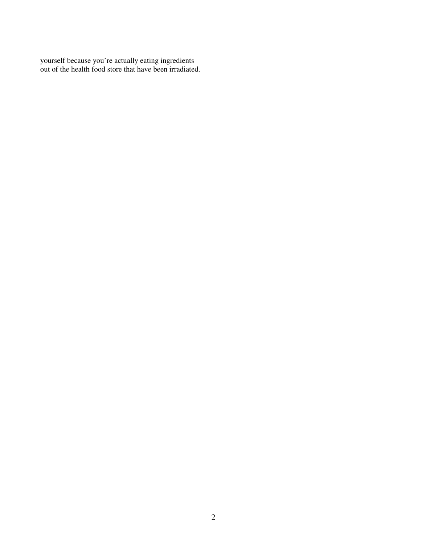yourself because you're actually eating ingredients out of the health food store that have been irradiated.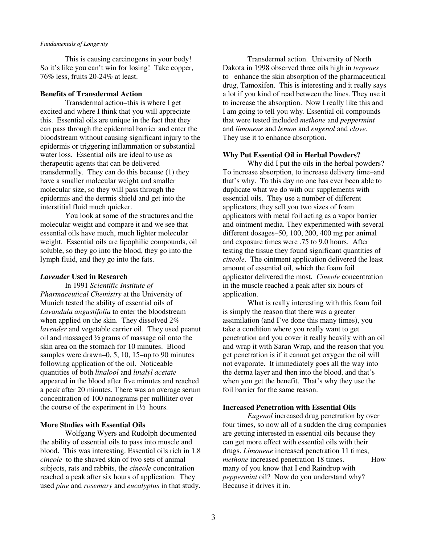This is causing carcinogens in your body! So it's like you can't win for losing! Take copper, 76% less, fruits 20-24% at least.

#### **Benefits of Transdermal Action**

 Transdermal action–this is where I get excited and where I think that you will appreciate this. Essential oils are unique in the fact that they can pass through the epidermal barrier and enter the bloodstream without causing significant injury to the epidermis or triggering inflammation or substantial water loss. Essential oils are ideal to use as therapeutic agents that can be delivered transdermally. They can do this because (1) they have a smaller molecular weight and smaller molecular size, so they will pass through the epidermis and the dermis shield and get into the interstitial fluid much quicker.

 You look at some of the structures and the molecular weight and compare it and we see that essential oils have much, much lighter molecular weight. Essential oils are lipophilic compounds, oil soluble, so they go into the blood, they go into the lymph fluid, and they go into the fats.

## *Lavender* **Used in Research**

 In 1991 *Scientific Institute of Pharmaceutical Chemistry* at the University of Munich tested the ability of essential oils of *Lavandula angustifolia* to enter the bloodstream when applied on the skin. They dissolved 2% *lavender* and vegetable carrier oil. They used peanut oil and massaged ½ grams of massage oil onto the skin area on the stomach for 10 minutes. Blood samples were drawn–0, 5, 10, 15–up to 90 minutes following application of the oil. Noticeable quantities of both *linalool* and *linalyl acetate* appeared in the blood after five minutes and reached a peak after 20 minutes. There was an average serum concentration of 100 nanograms per milliliter over the course of the experiment in 1½ hours.

## **More Studies with Essential Oils**

 Wolfgang Wyers and Rudolph documented the ability of essential oils to pass into muscle and blood. This was interesting. Essential oils rich in 1.8 *cineole* to the shaved skin of two sets of animal subjects, rats and rabbits, the *cineole* concentration reached a peak after six hours of application. They used *pine* and *rosemary* and *eucalyptus* in that study.

 Transdermal action. University of North Dakota in 1998 observed three oils high in *terpenes* to enhance the skin absorption of the pharmaceutical drug, Tamoxifen. This is interesting and it really says a lot if you kind of read between the lines. They use it to increase the absorption. Now I really like this and I am going to tell you why. Essential oil compounds that were tested included *methone* and *peppermint* and *limonene* and *lemon* and *eugenol* and *clove.* They use it to enhance absorption.

## **Why Put Essential Oil in Herbal Powders?**

Why did I put the oils in the herbal powders? To increase absorption, to increase delivery time–and that's why. To this day no one has ever been able to duplicate what we do with our supplements with essential oils. They use a number of different applicators; they sell you two sizes of foam applicators with metal foil acting as a vapor barrier and ointment media. They experimented with several different dosages–50, 100, 200, 400 mg per animal and exposure times were .75 to 9.0 hours. After testing the tissue they found significant quantities of *cineole*. The ointment application delivered the least amount of essential oil, which the foam foil applicator delivered the most. *Cineole* concentration in the muscle reached a peak after six hours of application.

 What is really interesting with this foam foil is simply the reason that there was a greater assimilation (and I've done this many times), you take a condition where you really want to get penetration and you cover it really heavily with an oil and wrap it with Saran Wrap, and the reason that you get penetration is if it cannot get oxygen the oil will not evaporate. It immediately goes all the way into the derma layer and then into the blood, and that's when you get the benefit. That's why they use the foil barrier for the same reason.

#### **Increased Penetration with Essential Oils**

*Eugenol* increased drug penetration by over four times, so now all of a sudden the drug companies are getting interested in essential oils because they can get more effect with essential oils with their drugs. *Limonene* increased penetration 11 times, *methone* increased penetration 18 times. How many of you know that I end Raindrop with *peppermint* oil? Now do you understand why? Because it drives it in.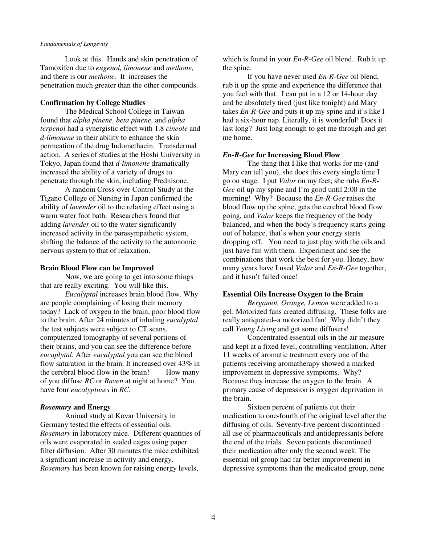Look at this. Hands and skin penetration of Tamoxifen due to *eugenol, limonene* and *methone,*  and there is our *methone.* It increases the penetration much greater than the other compounds.

## **Confirmation by College Studies**

 The Medical School College in Taiwan found that *alpha pinene, beta pinene,* and *alpha terpenol* had a synergistic effect with 1.8 *cineole* and *d-limonene* in their ability to enhance the skin permeation of the drug Indomethacin. Transdermal action. A series of studies at the Hoshi University in Tokyo, Japan found that *d-limonene* dramatically increased the ability of a variety of drugs to penetrate through the skin, including Prednisone.

 A random Cross-over Control Study at the Tigano College of Nursing in Japan confirmed the ability of *lavender* oil to the relaxing effect using a warm water foot bath. Researchers found that adding *lavender* oil to the water significantly increased activity in the parasympathetic system, shifting the balance of the activity to the autonomic nervous system to that of relaxation.

#### **Brain Blood Flow can be Improved**

 Now, we are going to get into some things that are really exciting. You will like this.

 *Eucalyptal* increases brain blood flow. Why are people complaining of losing their memory today? Lack of oxygen to the brain, poor blood flow to the brain. After 24 minutes of inhaling *eucalyptal* the test subjects were subject to CT scans, computerized tomography of several portions of their brains, and you can see the difference before *eucaplytal.* After *eucalyptal* you can see the blood flow saturation in the brain. It increased over 43% in the cerebral blood flow in the brain! How many of you diffuse *RC* or *Raven* at night at home? You have four *eucalyptuses* in *RC*.

## *Rosemary* **and Energy**

 Animal study at Kovar University in Germany tested the effects of essential oils. *Rosemary* in laboratory mice. Different quantities of oils were evaporated in sealed cages using paper filter diffusion. After 30 minutes the mice exhibited a significant increase in activity and energy. *Rosemary* has been known for raising energy levels,

which is found in your *En-R-Gee* oil blend. Rub it up the spine.

 If you have never used *En-R-Gee* oil blend, rub it up the spine and experience the difference that you feel with that. I can put in a 12 or 14-hour day and be absolutely tired (just like tonight) and Mary takes *En-R-Gee* and puts it up my spine and it's like I had a six-hour nap. Literally, it is wonderful! Does it last long? Just long enough to get me through and get me home.

## *En-R-Gee* **for Increasing Blood Flow**

 The thing that I like that works for me (and Mary can tell you), she does this every single time I go on stage. I put *Valor* on my feet; she rubs *En-R-Gee* oil up my spine and I'm good until 2:00 in the morning! Why? Because the *En-R-Gee* raises the blood flow up the spine, gets the cerebral blood flow going, and *Valor* keeps the frequency of the body balanced, and when the body's frequency starts going out of balance, that's when your energy starts dropping off. You need to just play with the oils and just have fun with them. Experiment and see the combinations that work the best for you. Honey, how many years have I used *Valor* and *En-R-Gee* together, and it hasn't failed once!

#### **Essential Oils Increase Oxygen to the Brain**

*Bergamot, Orange, Lemon* were added to a gel. Motorized fans created diffusing. These folks are really antiquated–a motorized fan! Why didn't they call *Young Living* and get some diffusers!

 Concentrated essential oils in the air measure and kept at a fixed level, controlling ventilation. After 11 weeks of aromatic treatment every one of the patients receiving aromatherapy showed a marked improvement in depressive symptoms. Why? Because they increase the oxygen to the brain. A primary cause of depression is oxygen deprivation in the brain.

 Sixteen percent of patients cut their medication to one-fourth of the original level after the diffusing of oils. Seventy-five percent discontinued all use of pharmaceuticals and antidepressants before the end of the trials. Seven patients discontinued their medication after only the second week. The essential oil group had far better improvement in depressive symptoms than the medicated group, none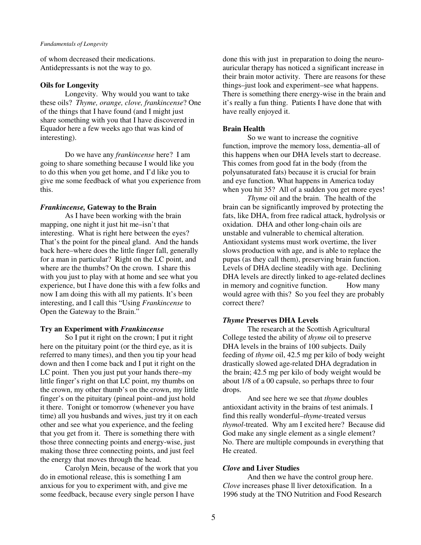of whom decreased their medications. Antidepressants is not the way to go.

#### **Oils for Longevity**

 Longevity. Why would you want to take these oils? *Thyme, orange, clove, frankincense*? One of the things that I have found (and I might just share something with you that I have discovered in Equador here a few weeks ago that was kind of interesting).

 Do we have any *frankincense* here? I am going to share something because I would like you to do this when you get home, and I'd like you to give me some feedback of what you experience from this.

#### *Frankincense,* **Gateway to the Brain**

 As I have been working with the brain mapping, one night it just hit me–isn't that interesting. What is right here between the eyes? That's the point for the pineal gland. And the hands back here–where does the little finger fall, generally for a man in particular? Right on the LC point, and where are the thumbs? On the crown. I share this with you just to play with at home and see what you experience, but I have done this with a few folks and now I am doing this with all my patients. It's been interesting, and I call this "Using *Frankincense* to Open the Gateway to the Brain."

#### **Try an Experiment with** *Frankincense*

 So I put it right on the crown; I put it right here on the pituitary point (or the third eye, as it is referred to many times), and then you tip your head down and then I come back and I put it right on the LC point. Then you just put your hands there–my little finger's right on that LC point, my thumbs on the crown, my other thumb's on the crown, my little finger's on the pituitary (pineal point–and just hold it there. Tonight or tomorrow (whenever you have time) all you husbands and wives, just try it on each other and see what you experience, and the feeling that you get from it. There is something there with those three connecting points and energy-wise, just making those three connecting points, and just feel the energy that moves through the head.

 Carolyn Mein, because of the work that you do in emotional release, this is something I am anxious for you to experiment with, and give me some feedback, because every single person I have

done this with just in preparation to doing the neuroauricular therapy has noticed a significant increase in their brain motor activity. There are reasons for these things–just look and experiment–see what happens. There is something there energy-wise in the brain and it's really a fun thing. Patients I have done that with have really enjoyed it.

## **Brain Health**

 So we want to increase the cognitive function, improve the memory loss, dementia–all of this happens when our DHA levels start to decrease. This comes from good fat in the body (from the polyunsaturated fats) because it is crucial for brain and eye function. What happens in America today when you hit 35? All of a sudden you get more eyes!

*Thyme* oil and the brain. The health of the brain can be significantly improved by protecting the fats, like DHA, from free radical attack, hydrolysis or oxidation. DHA and other long-chain oils are unstable and vulnerable to chemical alteration. Antioxidant systems must work overtime, the liver slows production with age, and is able to replace the pupas (as they call them), preserving brain function. Levels of DHA decline steadily with age. Declining DHA levels are directly linked to age-related declines in memory and cognitive function. How many would agree with this? So you feel they are probably correct there?

## *Thyme* **Preserves DHA Levels**

 The research at the Scottish Agricultural College tested the ability of *thyme* oil to preserve DHA levels in the brains of 100 subjects. Daily feeding of *thyme* oil, 42.5 mg per kilo of body weight drastically slowed age-related DHA degradation in the brain; 42.5 mg per kilo of body weight would be about 1/8 of a 00 capsule, so perhaps three to four drops.

 And see here we see that *thyme* doubles antioxidant activity in the brains of test animals. I find this really wonderful–*thyme-*treated versus *thymol*-treated. Why am I excited here? Because did God make any single element as a single element? No. There are multiple compounds in everything that He created.

#### *Clove* **and Liver Studies**

 And then we have the control group here. *Clove* increases phase ll liver detoxification. In a 1996 study at the TNO Nutrition and Food Research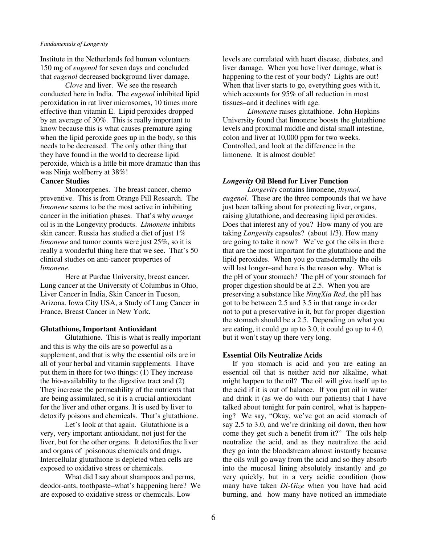Institute in the Netherlands fed human volunteers 150 mg of *eugenol* for seven days and concluded that *eugenol* decreased background liver damage.

*Clove* and liver. We see the research conducted here in India. The *eugenol* inhibited lipid peroxidation in rat liver microsomes, 10 times more effective than vitamin E. Lipid peroxides dropped by an average of 30%. This is really important to know because this is what causes premature aging when the lipid peroxide goes up in the body, so this needs to be decreased. The only other thing that they have found in the world to decrease lipid peroxide, which is a little bit more dramatic than this was Ninja wolfberry at 38%!

## **Cancer Studies**

 Monoterpenes. The breast cancer, chemo preventive. This is from Orange Pill Research. The *limonene* seems to be the most active in inhibiting cancer in the initiation phases. That's why *orange* oil is in the Longevity products. *Limonene* inhibits skin cancer. Russia has studied a diet of just 1% *limonene* and tumor counts were just 25%, so it is really a wonderful thing here that we see. That's 50 clinical studies on anti-cancer properties of *limonene.*

 Here at Purdue University, breast cancer. Lung cancer at the University of Columbus in Ohio, Liver Cancer in India, Skin Cancer in Tucson, Arizona. Iowa City USA, a Study of Lung Cancer in France, Breast Cancer in New York.

#### **Glutathione, Important Antioxidant**

 Glutathione. This is what is really important and this is why the oils are so powerful as a supplement, and that is why the essential oils are in all of your herbal and vitamin supplements. I have put them in there for two things: (1) They increase the bio-availability to the digestive tract and (2) They increase the permeability of the nutrients that are being assimilated, so it is a crucial antioxidant for the liver and other organs. It is used by liver to detoxify poisons and chemicals. That's glutathione.

 Let's look at that again. Glutathione is a very, very important antioxidant, not just for the liver, but for the other organs. It detoxifies the liver and organs of poisonous chemicals and drugs. Intercellular glutathione is depleted when cells are exposed to oxidative stress or chemicals.

What did I say about shampoos and perms, deodor-ants, toothpaste–what's happening here? We are exposed to oxidative stress or chemicals. Low

levels are correlated with heart disease, diabetes, and liver damage. When you have liver damage, what is happening to the rest of your body? Lights are out! When that liver starts to go, everything goes with it, which accounts for 95% of all reduction in most tissues–and it declines with age.

*Limonene* raises glutathione. John Hopkins University found that limonene boosts the glutathione levels and proximal middle and distal small intestine, colon and liver at 10,000 ppm for two weeks. Controlled, and look at the difference in the limonene. It is almost double!

## *Longevity* **Oil Blend for Liver Function**

*Longevity* contains limonene, *thymol, eugenol*. These are the three compounds that we have just been talking about for protecting liver, organs, raising glutathione, and decreasing lipid peroxides. Does that interest any of you? How many of you are taking *Longevity* capsules? (about 1/3). How many are going to take it now? We've got the oils in there that are the most important for the glutathione and the lipid peroxides. When you go transdermally the oils will last longer–and here is the reason why. What is the pH of your stomach? The pH of your stomach for proper digestion should be at 2.5. When you are preserving a substance like *NingXia Red*, the pH has got to be between 2.5 and 3.5 in that range in order not to put a preservative in it, but for proper digestion the stomach should be a 2.5. Depending on what you are eating, it could go up to 3.0, it could go up to 4.0, but it won't stay up there very long.

## **Essential Oils Neutralize Acids**

 If you stomach is acid and you are eating an essential oil that is neither acid nor alkaline, what might happen to the oil? The oil will give itself up to the acid if it is out of balance. If you put oil in water and drink it (as we do with our patients) that I have talked about tonight for pain control, what is happening? We say, "Okay, we've got an acid stomach of say 2.5 to 3.0, and we're drinking oil down, then how come they get such a benefit from it?" The oils help neutralize the acid, and as they neutralize the acid they go into the bloodstream almost instantly because the oils will go away from the acid and so they absorb into the mucosal lining absolutely instantly and go very quickly, but in a very acidic condition (how many have taken *Di-Gize* when you have had acid burning, and how many have noticed an immediate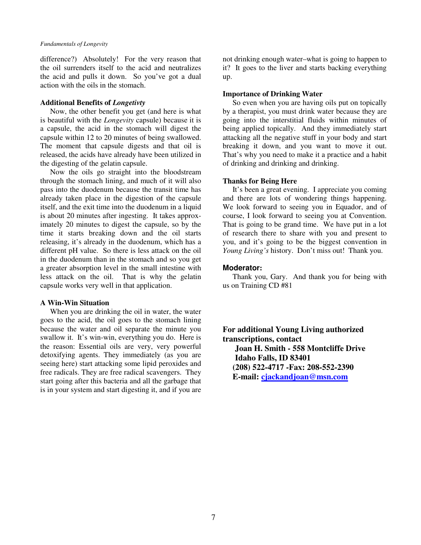difference?) Absolutely! For the very reason that the oil surrenders itself to the acid and neutralizes the acid and pulls it down. So you've got a dual action with the oils in the stomach.

## **Additional Benefits of** *Longetivty*

 Now, the other benefit you get (and here is what is beautiful with the *Longevity* capsule) because it is a capsule, the acid in the stomach will digest the capsule within 12 to 20 minutes of being swallowed. The moment that capsule digests and that oil is released, the acids have already have been utilized in the digesting of the gelatin capsule.

 Now the oils go straight into the bloodstream through the stomach lining, and much of it will also pass into the duodenum because the transit time has already taken place in the digestion of the capsule itself, and the exit time into the duodenum in a liquid is about 20 minutes after ingesting. It takes approximately 20 minutes to digest the capsule, so by the time it starts breaking down and the oil starts releasing, it's already in the duodenum, which has a different pH value. So there is less attack on the oil in the duodenum than in the stomach and so you get a greater absorption level in the small intestine with less attack on the oil. That is why the gelatin capsule works very well in that application.

## **A Win-Win Situation**

 When you are drinking the oil in water, the water goes to the acid, the oil goes to the stomach lining because the water and oil separate the minute you swallow it. It's win-win, everything you do. Here is the reason: Essential oils are very, very powerful detoxifying agents. They immediately (as you are seeing here) start attacking some lipid peroxides and free radicals. They are free radical scavengers. They start going after this bacteria and all the garbage that is in your system and start digesting it, and if you are not drinking enough water–what is going to happen to it? It goes to the liver and starts backing everything up.

## **Importance of Drinking Water**

 So even when you are having oils put on topically by a therapist, you must drink water because they are going into the interstitial fluids within minutes of being applied topically. And they immediately start attacking all the negative stuff in your body and start breaking it down, and you want to move it out. That's why you need to make it a practice and a habit of drinking and drinking and drinking.

## **Thanks for Being Here**

 It's been a great evening. I appreciate you coming and there are lots of wondering things happening. We look forward to seeing you in Equador, and of course, I look forward to seeing you at Convention. That is going to be grand time. We have put in a lot of research there to share with you and present to you, and it's going to be the biggest convention in *Young Living's* history. Don't miss out! Thank you.

## **Moderator:**

Thank you, Gary. And thank you for being with us on Training CD #81

**For additional Young Living authorized transcriptions, contact Joan H. Smith - 558 Montcliffe Drive Idaho Falls, ID 83401 (208) 522-4717 -Fax: 208-552-2390 E-mail: cjackandjoan@msn.com**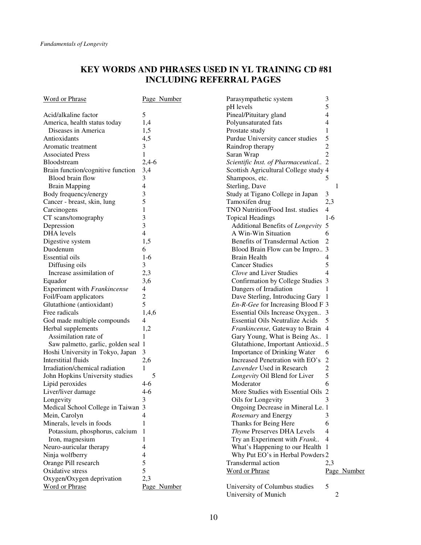## **KEY WORDS AND PHRASES USED IN YL TRAINING CD #81 INCLUDING REFERRAL PAGES**

| <b>Word or Phrase</b>               | Page Number    | Parasympathetic system                 | 3              |             |
|-------------------------------------|----------------|----------------------------------------|----------------|-------------|
|                                     |                | pH levels                              | 5              |             |
| Acid/alkaline factor                | 5              | Pineal/Pituitary gland                 | 4              |             |
| America, health status today        | 1,4            | Polyunsaturated fats                   | 4              |             |
| Diseases in America                 | 1,5            | Prostate study                         | 1              |             |
| Antioxidants                        | 4,5            | Purdue University cancer studies       | 5              |             |
| Aromatic treatment                  | 3              | Raindrop therapy                       | $\overline{c}$ |             |
| <b>Associated Press</b>             | 1              | Saran Wrap                             | $\overline{2}$ |             |
| <b>Bloodstream</b>                  | $2,4-6$        | Scientific Inst. of Pharmaceutical 2   |                |             |
| Brain function/cognitive function   | 3,4            | Scottish Agricultural College study 4  |                |             |
| Blood brain flow                    | 3              | Shampoos, etc.                         | 5              |             |
| <b>Brain Mapping</b>                | 4              | Sterling, Dave                         |                | 1           |
| Body frequency/energy               | 3              | Study at Tigano College in Japan       | 3              |             |
| Cancer - breast, skin, lung         | 5              | Tamoxifen drug                         | 2,3            |             |
| Carcinogens                         | 1              | TNO Nutrition/Food Inst. studies       | 4              |             |
| CT scans/tomography                 | 3              | <b>Topical Headings</b>                | $1-6$          |             |
| Depression                          | 3              | Additional Benefits of Longevity       | $\overline{5}$ |             |
| DHA levels                          | $\overline{4}$ | A Win-Win Situation                    | 6              |             |
| Digestive system                    | 1,5            | Benefits of Transdermal Action         | $\overline{2}$ |             |
| Duodenum                            | 6              | Blood Brain Flow can be Impro 3        |                |             |
| <b>Essential oils</b>               | $1-6$          | <b>Brain Health</b>                    | 4              |             |
| Diffusing oils                      | 3              | <b>Cancer Studies</b>                  | 5              |             |
| Increase assimilation of            | 2,3            | Clove and Liver Studies                | 4              |             |
| Equador                             | 3,6            | Confirmation by College Studies 3      |                |             |
| Experiment with Frankincense        | 4              | Dangers of Irradiation                 |                |             |
| Foil/Foam applicators               | 2              |                                        |                |             |
| Glutathione (antioxidant)           | 5              | Dave Sterling, Introducing Gary 1      |                |             |
|                                     |                | En-R-Gee for Increasing Blood F 3      |                |             |
| Free radicals                       | 1,4,6          | Essential Oils Increase Oxygen 3       |                |             |
| God made multiple compounds         | 4              | <b>Essential Oils Neutralize Acids</b> | 5              |             |
| Herbal supplements                  | 1,2            | Frankincense, Gateway to Brain 4       |                |             |
| Assimilation rate of                | 1              | Gary Young, What is Being As 1         |                |             |
| Saw palmetto, garlic, golden seal 1 |                | Glutathione, Important Antioxid 5      |                |             |
| Hoshi University in Tokyo, Japan    | 3              | Importance of Drinking Water           | 6              |             |
| Interstitial fluids                 | 2,6            | Increased Penetration with EO's        | $\overline{2}$ |             |
| Irradiation/chemical radiation      | 1              | Lavender Used in Research              | 2              |             |
| John Hopkins University studies     | 5              | Longevity Oil Blend for Liver          | 5              |             |
| Lipid peroxides                     | 4-6            | Moderator                              | 6              |             |
| Liver/liver damage                  | $4-6$          | More Studies with Essential Oils 2     |                |             |
| Longevity                           | 3              | Oils for Longevity                     | 3              |             |
| Medical School College in Taiwan 3  |                | Ongoing Decrease in Mineral Le. 1      |                |             |
| Mein, Carolyn                       | 4              | Rosemary and Energy                    | 3              |             |
| Minerals, levels in foods           | 1              | Thanks for Being Here                  | 6              |             |
| Potassium, phosphorus, calcium      | $\overline{1}$ | Thyme Preserves DHA Levels             | 4              |             |
| Iron, magnesium                     | 1              | Try an Experiment with Frank           | $\overline{4}$ |             |
| Neuro-auricular therapy             | 4              | What's Happening to our Health 1       |                |             |
| Ninja wolfberry                     | 4              | Why Put EO's in Herbal Powders 2       |                |             |
| Orange Pill research                | 5              | Transdermal action                     | 2,3            |             |
| Oxidative stress                    | 5              | <b>Word or Phrase</b>                  |                | Page Number |
| Oxygen/Oxygen deprivation           | 2,3            |                                        |                |             |
| Word or Phrase                      | Page Number    | University of Columbus studies         | 5              |             |
|                                     |                | University of Munich                   |                | 2           |
|                                     |                |                                        |                |             |